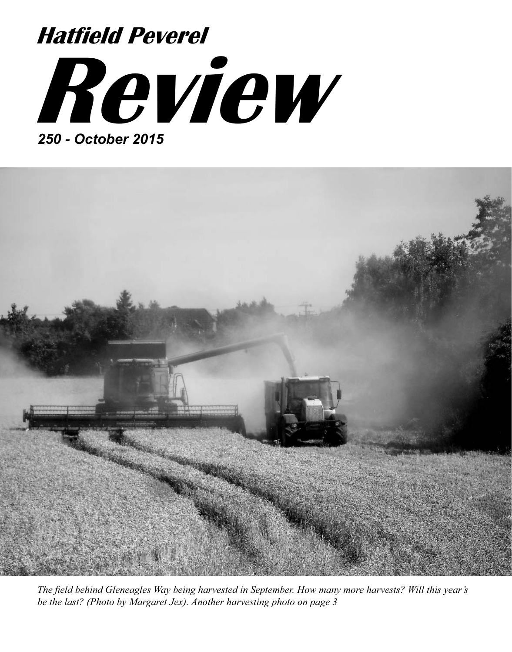# **Review** *250 - October 2015* **Hatfield Peverel**



*The field behind Gleneagles Way being harvested in September. How many more harvests? Will this year's be the last? (Photo by Margaret Jex). Another harvesting photo on page 3*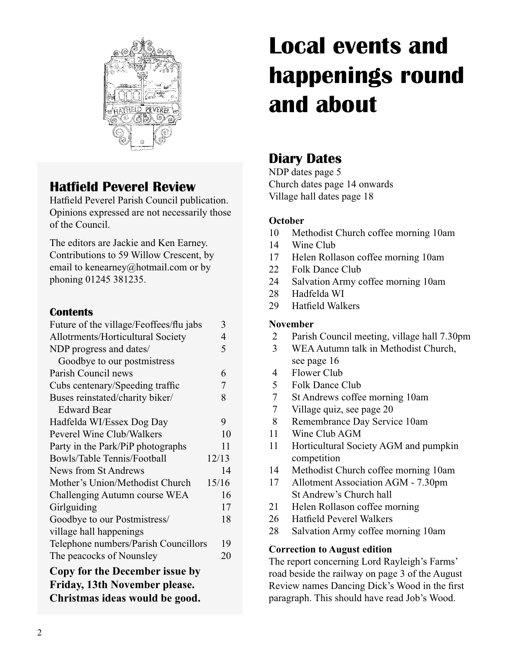

# **Hatfield Peverel Review**

Hatfield Peverel Parish Council publication. Opinions expressed are not necessarily those of the Council.

The editors are Jackie and Ken Earney. Contributions to 59 Willow Crescent, by email to kenearney@hotmail.com or by phoning 01245 381235.

#### **Contents**

| Future of the village/Feoffees/flu jabs | 3     |
|-----------------------------------------|-------|
| Allotrments/Horticultural Society       | 4     |
| NDP progress and dates/                 | 5     |
| Goodbye to our postmistress             |       |
| Parish Council news                     | 6     |
| Cubs centenary/Speeding traffic         | 7     |
| Buses reinstated/charity biker/         | 8     |
| <b>Edward Bear</b>                      |       |
| Hadfelda WI/Essex Dog Day               | 9     |
| Peverel Wine Club/Walkers               | 10    |
| Party in the Park/PiP photographs       | 11    |
| Bowls/Table Tennis/Football             | 12/13 |
| News from St Andrews                    | 14    |
| Mother's Union/Methodist Church         | 15/16 |
| Challenging Autumn course WEA           | 16    |
| Girlguiding                             | 17    |
| Goodbye to our Postmistress/            | 18    |
| village hall happenings                 |       |
| Telephone numbers/Parish Councillors    | 19    |
| The peacocks of Nounsley                | 20    |
| Copy for the December issue by          |       |
| Friday, 13th November please.           |       |
| Christmas ideas would be good.          |       |
|                                         |       |

# **Local events and happenings round and about**

# **Diary Dates**

NDP dates page 5 Church dates page 14 onwards Village hall dates page 18

#### **October**

- 10 Methodist Church coffee morning 10am
- 14 Wine Club
- 17 Helen Rollason coffee morning 10am
- 22 Folk Dance Club
- 24 Salvation Army coffee morning 10am
- 28 Hadfelda WI
- 29 Hatfield Walkers

#### **November**

- 2 Parish Council meeting, village hall 7.30pm
- 3 WEA Autumn talk in Methodist Church, see page 16
- 4 Flower Club
- 5 Folk Dance Club
- 7 St Andrews coffee morning 10am
- 7 Village quiz, see page 20
- 8 Remembrance Day Service 10am
- 11 Wine Club AGM
- 11 Horticultural Society AGM and pumpkin competition
- 14 Methodist Church coffee morning 10am
- 17 Allotment Association AGM 7.30pm St Andrew's Church hall
- 21 Helen Rollason coffee morning
- 26 Hatfield Peverel Walkers
- 28 Salvation Army coffee morning 10am

#### **Correction to August edition**

The report concerning Lord Rayleigh's Farms' road beside the railway on page 3 of the August Review names Dancing Dick's Wood in the first paragraph. This should have read Job's Wood.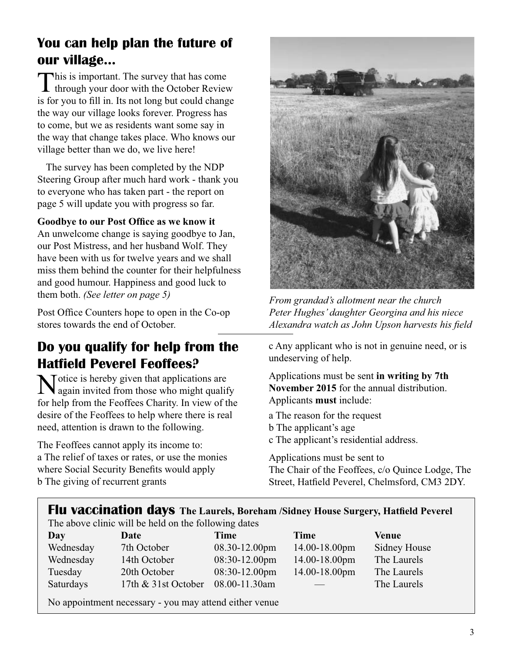# **You can help plan the future of our village...**

This is important. The survey that has come  $\blacktriangle$  through your door with the October Review is for you to fill in. Its not long but could change the way our village looks forever. Progress has to come, but we as residents want some say in the way that change takes place. Who knows our village better than we do, we live here!

The survey has been completed by the NDP Steering Group after much hard work - thank you to everyone who has taken part - the report on page 5 will update you with progress so far.

**Goodbye to our Post Office as we know it**

An unwelcome change is saying goodbye to Jan, our Post Mistress, and her husband Wolf. They have been with us for twelve years and we shall miss them behind the counter for their helpfulness and good humour. Happiness and good luck to them both. *(See letter on page 5)*

Post Office Counters hope to open in the Co-op stores towards the end of October.

# **Do you qualify for help from the Hatfield Peverel Feoffees?**

**N**otice is hereby given that applications are again invited from those who might qualify for help from the Feoffees Charity. In view of the desire of the Feoffees to help where there is real need, attention is drawn to the following.

The Feoffees cannot apply its income to: a The relief of taxes or rates, or use the monies where Social Security Benefits would apply b The giving of recurrent grants



*From grandad's allotment near the church Peter Hughes' daughter Georgina and his niece Alexandra watch as John Upson harvests his field* 

c Any applicant who is not in genuine need, or is undeserving of help.

Applications must be sent **in writing by 7th November 2015** for the annual distribution. Applicants **must** include:

a The reason for the request b The applicant's age c The applicant's residential address.

Applications must be sent to The Chair of the Feoffees, c/o Quince Lodge, The Street, Hatfield Peverel, Chelmsford, CM3 2DY.

#### **Flu vaccination days The Laurels, Boreham /Sidney House Surgery, Hatfield Peverel**

The above clinic will be held on the following dates

| Day       | Date                | Time               | Time               | Venue               |
|-----------|---------------------|--------------------|--------------------|---------------------|
| Wednesday | 7th October         | $08.30 - 12.00$ pm | 14.00-18.00pm      | <b>Sidney House</b> |
| Wednesday | 14th October        | $08:30-12.00$ pm   | $14.00 - 18.00$ pm | The Laurels         |
| Tuesday   | 20th October        | $08:30-12.00$ pm   | 14.00-18.00pm      | The Laurels         |
| Saturdays | 17th & 31st October | 08.00-11.30am      |                    | The Laurels         |
|           |                     |                    |                    |                     |

No appointment necessary - you may attend either venue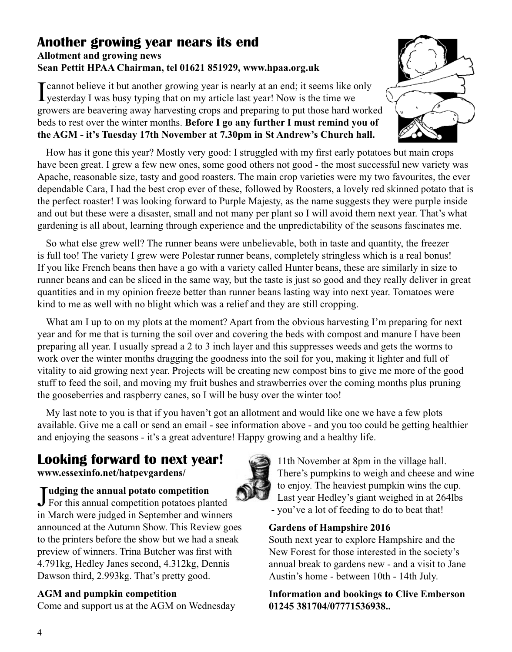#### **Another growing year nears its end Allotment and growing news Sean Pettit HPAA Chairman, tel 01621 851929, www.hpaa.org.uk**

I cannot believe it but another growing year is nearly at an end; it seems like only yesterday I was busy typing that on my article last year! Now is the time we growers are beavering away harvesting crops and preparing to put those hard worked beds to rest over the winter months. **Before I go any further I must remind you of the AGM - it's Tuesday 17th November at 7.30pm in St Andrew's Church hall.**

How has it gone this year? Mostly very good: I struggled with my first early potatoes but main crops have been great. I grew a few new ones, some good others not good - the most successful new variety was Apache, reasonable size, tasty and good roasters. The main crop varieties were my two favourites, the ever dependable Cara, I had the best crop ever of these, followed by Roosters, a lovely red skinned potato that is the perfect roaster! I was looking forward to Purple Majesty, as the name suggests they were purple inside and out but these were a disaster, small and not many per plant so I will avoid them next year. That's what gardening is all about, learning through experience and the unpredictability of the seasons fascinates me.

So what else grew well? The runner beans were unbelievable, both in taste and quantity, the freezer is full too! The variety I grew were Polestar runner beans, completely stringless which is a real bonus! If you like French beans then have a go with a variety called Hunter beans, these are similarly in size to runner beans and can be sliced in the same way, but the taste is just so good and they really deliver in great quantities and in my opinion freeze better than runner beans lasting way into next year. Tomatoes were kind to me as well with no blight which was a relief and they are still cropping.

What am I up to on my plots at the moment? Apart from the obvious harvesting I'm preparing for next year and for me that is turning the soil over and covering the beds with compost and manure I have been preparing all year. I usually spread a 2 to 3 inch layer and this suppresses weeds and gets the worms to work over the winter months dragging the goodness into the soil for you, making it lighter and full of vitality to aid growing next year. Projects will be creating new compost bins to give me more of the good stuff to feed the soil, and moving my fruit bushes and strawberries over the coming months plus pruning the gooseberries and raspberry canes, so I will be busy over the winter too!

My last note to you is that if you haven't got an allotment and would like one we have a few plots available. Give me a call or send an email - see information above - and you too could be getting healthier and enjoying the seasons - it's a great adventure! Happy growing and a healthy life.

# **Looking forward to next year!**

**www.essexinfo.net/hatpevgardens/**

**Judging the annual potato competition**<br>For this annual competition potatoes pla For this annual competition potatoes planted in March were judged in September and winners announced at the Autumn Show. This Review goes to the printers before the show but we had a sneak preview of winners. Trina Butcher was first with 4.791kg, Hedley Janes second, 4.312kg, Dennis Dawson third, 2.993kg. That's pretty good.

#### **AGM and pumpkin competition**

Come and support us at the AGM on Wednesday

11th November at 8pm in the village hall. There's pumpkins to weigh and cheese and wine to enjoy. The heaviest pumpkin wins the cup. Last year Hedley's giant weighed in at 264lbs - you've a lot of feeding to do to beat that!

#### **Gardens of Hampshire 2016**

South next year to explore Hampshire and the New Forest for those interested in the society's annual break to gardens new - and a visit to Jane Austin's home - between 10th - 14th July.

**Information and bookings to Clive Emberson 01245 381704/07771536938..**



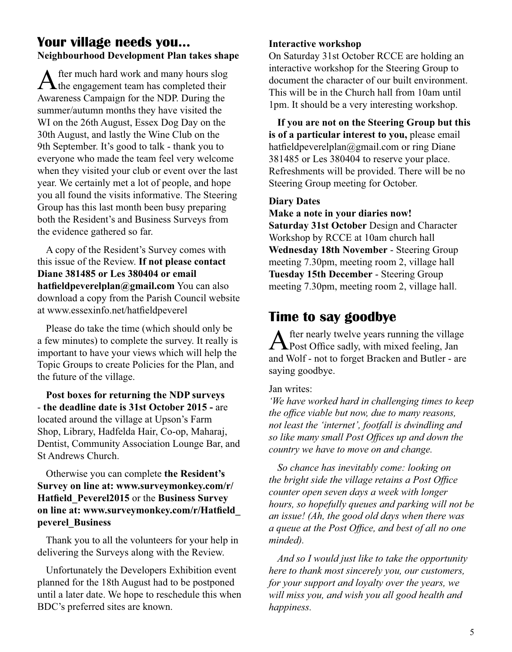#### **Your village needs you... Neighbourhood Development Plan takes shape**

After much hard work and many hours slog<br>the engagement team has completed their Awareness Campaign for the NDP. During the summer/autumn months they have visited the WI on the 26th August, Essex Dog Day on the 30th August, and lastly the Wine Club on the 9th September. It's good to talk - thank you to everyone who made the team feel very welcome when they visited your club or event over the last year. We certainly met a lot of people, and hope you all found the visits informative. The Steering Group has this last month been busy preparing both the Resident's and Business Surveys from the evidence gathered so far.

A copy of the Resident's Survey comes with this issue of the Review. **If not please contact Diane 381485 or Les 380404 or email hatfieldpeverelplan@gmail.com** You can also download a copy from the Parish Council website at www.essexinfo.net/hatfieldpeverel

Please do take the time (which should only be a few minutes) to complete the survey. It really is important to have your views which will help the Topic Groups to create Policies for the Plan, and the future of the village.

**Post boxes for returning the NDP surveys** - **the deadline date is 31st October 2015 -** are located around the village at Upson's Farm Shop, Library, Hadfelda Hair, Co-op, Maharaj, Dentist, Community Association Lounge Bar, and St Andrews Church.

Otherwise you can complete **the Resident's Survey on line at: www.surveymonkey.com/r/ Hatfield\_Peverel2015** or the **Business Survey on line at: www.surveymonkey.com/r/Hatfield\_ peverel\_Business**

Thank you to all the volunteers for your help in delivering the Surveys along with the Review.

Unfortunately the Developers Exhibition event planned for the 18th August had to be postponed until a later date. We hope to reschedule this when BDC's preferred sites are known.

#### **Interactive workshop**

On Saturday 31st October RCCE are holding an interactive workshop for the Steering Group to document the character of our built environment. This will be in the Church hall from 10am until 1pm. It should be a very interesting workshop.

**If you are not on the Steering Group but this is of a particular interest to you,** please email hatfieldpeverelplan@gmail.com or ring Diane 381485 or Les 380404 to reserve your place. Refreshments will be provided. There will be no Steering Group meeting for October.

#### **Diary Dates**

**Make a note in your diaries now!**

**Saturday 31st October** Design and Character Workshop by RCCE at 10am church hall **Wednesday 18th November** - Steering Group meeting 7.30pm, meeting room 2, village hall **Tuesday 15th December** - Steering Group meeting 7.30pm, meeting room 2, village hall.

#### **Time to say goodbye**

After nearly twelve years running the village<br>Post Office sadly, with mixed feeling, Jan and Wolf - not to forget Bracken and Butler - are saying goodbye.

Jan writes:

*'We have worked hard in challenging times to keep the office viable but now, due to many reasons, not least the 'internet', footfall is dwindling and so like many small Post Offices up and down the country we have to move on and change.*

*So chance has inevitably come: looking on the bright side the village retains a Post Office counter open seven days a week with longer hours, so hopefully queues and parking will not be an issue! (Ah, the good old days when there was a queue at the Post Office, and best of all no one minded).*

*And so I would just like to take the opportunity here to thank most sincerely you, our customers, for your support and loyalty over the years, we will miss you, and wish you all good health and happiness.*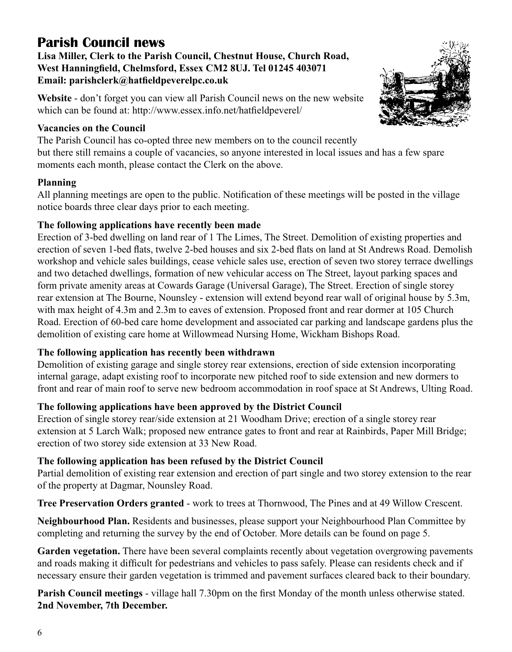# **Parish Council news**

**Lisa Miller, Clerk to the Parish Council, Chestnut House, Church Road, West Hanningfield, Chelmsford, Essex CM2 8UJ. Tel 01245 403071 Email: parishclerk@hatfieldpeverelpc.co.uk**

**Website** - don't forget you can view all Parish Council news on the new website which can be found at: http://www.essex.info.net/hatfieldpeverel/

#### **Vacancies on the Council**

The Parish Council has co-opted three new members on to the council recently but there still remains a couple of vacancies, so anyone interested in local issues and has a few spare moments each month, please contact the Clerk on the above.

#### **Planning**

All planning meetings are open to the public. Notification of these meetings will be posted in the village notice boards three clear days prior to each meeting.

#### **The following applications have recently been made**

Erection of 3-bed dwelling on land rear of 1 The Limes, The Street. Demolition of existing properties and erection of seven 1-bed flats, twelve 2-bed houses and six 2-bed flats on land at St Andrews Road. Demolish workshop and vehicle sales buildings, cease vehicle sales use, erection of seven two storey terrace dwellings and two detached dwellings, formation of new vehicular access on The Street, layout parking spaces and form private amenity areas at Cowards Garage (Universal Garage), The Street. Erection of single storey rear extension at The Bourne, Nounsley - extension will extend beyond rear wall of original house by 5.3m, with max height of 4.3m and 2.3m to eaves of extension. Proposed front and rear dormer at 105 Church Road. Erection of 60-bed care home development and associated car parking and landscape gardens plus the demolition of existing care home at Willowmead Nursing Home, Wickham Bishops Road.

#### **The following application has recently been withdrawn**

Demolition of existing garage and single storey rear extensions, erection of side extension incorporating internal garage, adapt existing roof to incorporate new pitched roof to side extension and new dormers to front and rear of main roof to serve new bedroom accommodation in roof space at St Andrews, Ulting Road.

#### **The following applications have been approved by the District Council**

Erection of single storey rear/side extension at 21 Woodham Drive; erection of a single storey rear extension at 5 Larch Walk; proposed new entrance gates to front and rear at Rainbirds, Paper Mill Bridge; erection of two storey side extension at 33 New Road.

#### **The following application has been refused by the District Council**

Partial demolition of existing rear extension and erection of part single and two storey extension to the rear of the property at Dagmar, Nounsley Road.

**Tree Preservation Orders granted** - work to trees at Thornwood, The Pines and at 49 Willow Crescent.

**Neighbourhood Plan.** Residents and businesses, please support your Neighbourhood Plan Committee by completing and returning the survey by the end of October. More details can be found on page 5.

**Garden vegetation.** There have been several complaints recently about vegetation overgrowing pavements and roads making it difficult for pedestrians and vehicles to pass safely. Please can residents check and if necessary ensure their garden vegetation is trimmed and pavement surfaces cleared back to their boundary.

**Parish Council meetings** - village hall 7.30pm on the first Monday of the month unless otherwise stated. **2nd November, 7th December.**

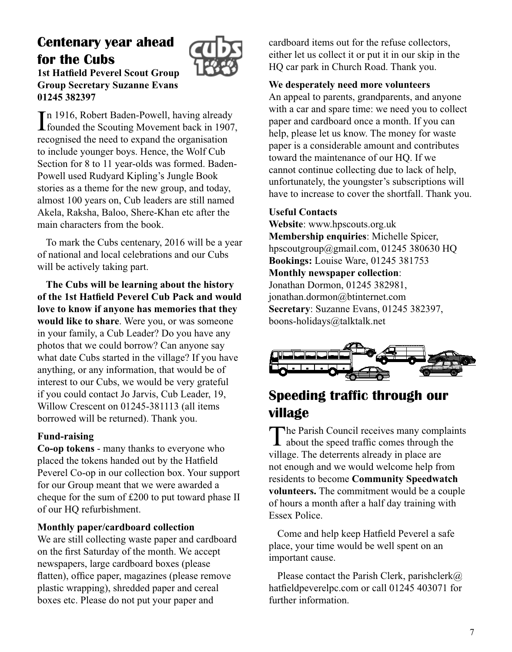# **Centenary year ahead for the Cubs**



**1st Hatfield Peverel Scout Group Group Secretary Suzanne Evans 01245 382397**

In 1916, Robert Baden-Powell, having already<br>
founded the Scouting Movement back in 1907 founded the Scouting Movement back in 1907, recognised the need to expand the organisation to include younger boys. Hence, the Wolf Cub Section for 8 to 11 year-olds was formed. Baden-Powell used Rudyard Kipling's Jungle Book stories as a theme for the new group, and today, almost 100 years on, Cub leaders are still named Akela, Raksha, Baloo, Shere-Khan etc after the main characters from the book.

To mark the Cubs centenary, 2016 will be a year of national and local celebrations and our Cubs will be actively taking part.

**The Cubs will be learning about the history of the 1st Hatfield Peverel Cub Pack and would love to know if anyone has memories that they would like to share**. Were you, or was someone in your family, a Cub Leader? Do you have any photos that we could borrow? Can anyone say what date Cubs started in the village? If you have anything, or any information, that would be of interest to our Cubs, we would be very grateful if you could contact Jo Jarvis, Cub Leader, 19, Willow Crescent on 01245-381113 (all items borrowed will be returned). Thank you.

#### **Fund-raising**

**Co-op tokens** - many thanks to everyone who placed the tokens handed out by the Hatfield Peverel Co-op in our collection box. Your support for our Group meant that we were awarded a cheque for the sum of £200 to put toward phase II of our HQ refurbishment.

#### **Monthly paper/cardboard collection**

We are still collecting waste paper and cardboard on the first Saturday of the month. We accept newspapers, large cardboard boxes (please flatten), office paper, magazines (please remove plastic wrapping), shredded paper and cereal boxes etc. Please do not put your paper and

cardboard items out for the refuse collectors, either let us collect it or put it in our skip in the HQ car park in Church Road. Thank you.

#### **We desperately need more volunteers**

An appeal to parents, grandparents, and anyone with a car and spare time: we need you to collect paper and cardboard once a month. If you can help, please let us know. The money for waste paper is a considerable amount and contributes toward the maintenance of our HQ. If we cannot continue collecting due to lack of help, unfortunately, the youngster's subscriptions will have to increase to cover the shortfall. Thank you.

#### **Useful Contacts**

**Website**: www.hpscouts.org.uk **Membership enquiries**: Michelle Spicer, hpscoutgroup@gmail.com, 01245 380630 HQ **Bookings:** Louise Ware, 01245 381753

#### **Monthly newspaper collection**:

Jonathan Dormon, 01245 382981, jonathan.dormon@btinternet.com **Secretary**: Suzanne Evans, 01245 382397, boons-holidays@talktalk.net



# **Speeding traffic through our village**

The Parish Council receives many complaints about the speed traffic comes through the village. The deterrents already in place are not enough and we would welcome help from residents to become **Community Speedwatch volunteers.** The commitment would be a couple of hours a month after a half day training with Essex Police.

Come and help keep Hatfield Peverel a safe place, your time would be well spent on an important cause.

Please contact the Parish Clerk, parishclerk $@$ hatfieldpeverelpc.com or call 01245 403071 for further information.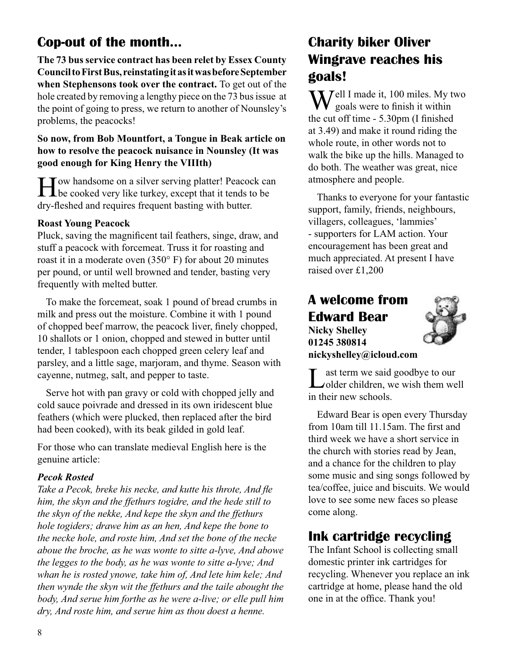# **Cop-out of the month...**

**The 73 bus service contract has been relet by Essex County Council to First Bus, reinstating it as it was before September when Stephensons took over the contract.** To get out of the hole created by removing a lengthy piece on the 73 bus issue at the point of going to press, we return to another of Nounsley's problems, the peacocks!

#### **So now, from Bob Mountfort, a Tongue in Beak article on how to resolve the peacock nuisance in Nounsley (It was good enough for King Henry the VIIIth)**

How handsome on a silver serving platter! Peacock can be cooked very like turkey, except that it tends to be dry-fleshed and requires frequent basting with butter.

#### **Roast Young Peacock**

Pluck, saving the magnificent tail feathers, singe, draw, and stuff a peacock with forcemeat. Truss it for roasting and roast it in a moderate oven (350° F) for about 20 minutes per pound, or until well browned and tender, basting very frequently with melted butter.

To make the forcemeat, soak 1 pound of bread crumbs in milk and press out the moisture. Combine it with 1 pound of chopped beef marrow, the peacock liver, finely chopped, 10 shallots or 1 onion, chopped and stewed in butter until tender, 1 tablespoon each chopped green celery leaf and parsley, and a little sage, marjoram, and thyme. Season with cayenne, nutmeg, salt, and pepper to taste.

Serve hot with pan gravy or cold with chopped jelly and cold sauce poivrade and dressed in its own iridescent blue feathers (which were plucked, then replaced after the bird had been cooked), with its beak gilded in gold leaf.

For those who can translate medieval English here is the genuine article:

#### *Pecok Rosted*

*Take a Pecok, breke his necke, and kutte his throte, And fle him, the skyn and the ffethurs togidre, and the hede still to the skyn of the nekke, And kepe the skyn and the ffethurs hole togiders; drawe him as an hen, And kepe the bone to the necke hole, and roste him, And set the bone of the necke aboue the broche, as he was wonte to sitte a-lyve, And abowe the legges to the body, as he was wonte to sitte a-lyve; And whan he is rosted ynowe, take him of, And lete him kele; And then wynde the skyn wit the ffethurs and the taile abought the body, And serue him forthe as he were a-live; or elle pull him dry, And roste him, and serue him as thou doest a henne.*

# **Charity biker Oliver Wingrave reaches his goals!**

**T** *T*ell I made it, 100 miles. My two goals were to finish it within the cut off time - 5.30pm (I finished at 3.49) and make it round riding the whole route, in other words not to walk the bike up the hills. Managed to do both. The weather was great, nice atmosphere and people.

Thanks to everyone for your fantastic support, family, friends, neighbours, villagers, colleagues, 'lammies' - supporters for LAM action. Your encouragement has been great and much appreciated. At present I have raised over £1,200

# **A welcome from Edward Bear**

**Nicky Shelley 01245 380814 nickyshelley@icloud.com**



Last term we said goodbye to our<br>
older children, we wish them well in their new schools.

Edward Bear is open every Thursday from 10am till 11.15am. The first and third week we have a short service in the church with stories read by Jean, and a chance for the children to play some music and sing songs followed by tea/coffee, juice and biscuits. We would love to see some new faces so please come along.

# **Ink cartridge recycling**

The Infant School is collecting small domestic printer ink cartridges for recycling. Whenever you replace an ink cartridge at home, please hand the old one in at the office. Thank you!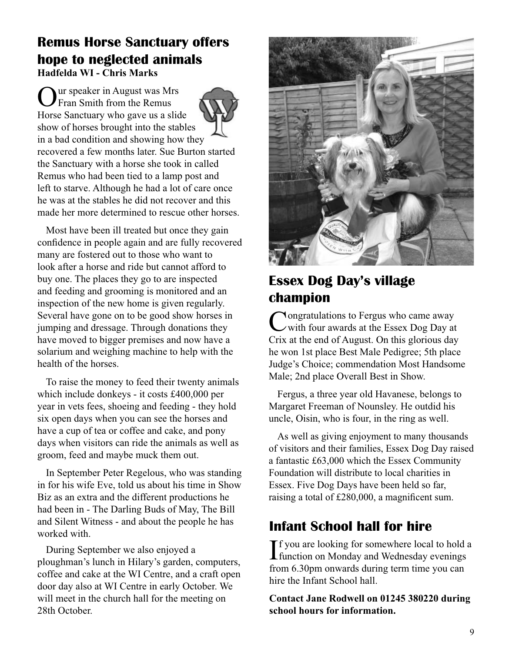#### **Remus Horse Sanctuary offers hope to neglected animals Hadfelda WI - Chris Marks**

Uur speaker in August was Mrs Fran Smith from the Remus Horse Sanctuary who gave us a slide show of horses brought into the stables in a bad condition and showing how they recovered a few months later. Sue Burton started the Sanctuary with a horse she took in called Remus who had been tied to a lamp post and left to starve. Although he had a lot of care once he was at the stables he did not recover and this made her more determined to rescue other horses.

Most have been ill treated but once they gain confidence in people again and are fully recovered many are fostered out to those who want to look after a horse and ride but cannot afford to buy one. The places they go to are inspected and feeding and grooming is monitored and an inspection of the new home is given regularly. Several have gone on to be good show horses in jumping and dressage. Through donations they have moved to bigger premises and now have a solarium and weighing machine to help with the health of the horses.

To raise the money to feed their twenty animals which include donkeys - it costs £400,000 per year in vets fees, shoeing and feeding - they hold six open days when you can see the horses and have a cup of tea or coffee and cake, and pony days when visitors can ride the animals as well as groom, feed and maybe muck them out.

In September Peter Regelous, who was standing in for his wife Eve, told us about his time in Show Biz as an extra and the different productions he had been in - The Darling Buds of May, The Bill and Silent Witness - and about the people he has worked with.

During September we also enjoyed a ploughman's lunch in Hilary's garden, computers, coffee and cake at the WI Centre, and a craft open door day also at WI Centre in early October. We will meet in the church hall for the meeting on 28th October.



# **Essex Dog Day's village champion**

Congratulations to Fergus who came away with four awards at the Essex Dog Day at Crix at the end of August. On this glorious day he won 1st place Best Male Pedigree; 5th place Judge's Choice; commendation Most Handsome Male; 2nd place Overall Best in Show.

Fergus, a three year old Havanese, belongs to Margaret Freeman of Nounsley. He outdid his uncle, Oisin, who is four, in the ring as well.

As well as giving enjoyment to many thousands of visitors and their families, Essex Dog Day raised a fantastic £63,000 which the Essex Community Foundation will distribute to local charities in Essex. Five Dog Days have been held so far, raising a total of £280,000, a magnificent sum.

# **Infant School hall for hire**

If you are looking for somewhere local to hold a<br>function on Monday and Wednesday evenings **L** function on Monday and Wednesday evenings from 6.30pm onwards during term time you can hire the Infant School hall.

**Contact Jane Rodwell on 01245 380220 during school hours for information.**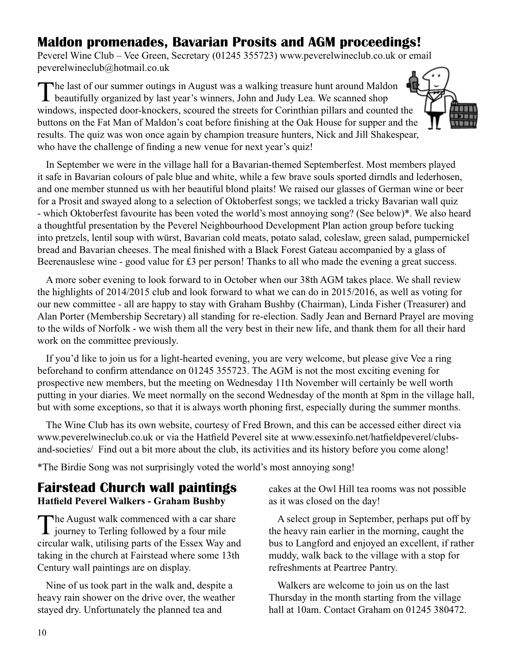# **Maldon promenades, Bavarian Prosits and AGM proceedings!**

Peverel Wine Club – Vee Green, Secretary (01245 355723) www.peverelwineclub.co.uk or email peverelwineclub@hotmail.co.uk

The last of our summer outings in August was a walking treasure hunt around Maldon beautifully organized by last year's winners, John and Judy Lea. We scanned shop windows, inspected door-knockers, scoured the streets for Corinthian pillars and counted the buttons on the Fat Man of Maldon's coat before finishing at the Oak House for supper and the results. The quiz was won once again by champion treasure hunters, Nick and Jill Shakespear, who have the challenge of finding a new venue for next year's quiz!



In September we were in the village hall for a Bavarian-themed Septemberfest. Most members played it safe in Bavarian colours of pale blue and white, while a few brave souls sported dirndls and lederhosen, and one member stunned us with her beautiful blond plaits! We raised our glasses of German wine or beer for a Prosit and swayed along to a selection of Oktoberfest songs; we tackled a tricky Bavarian wall quiz - which Oktoberfest favourite has been voted the world's most annoying song? (See below)\*. We also heard a thoughtful presentation by the Peverel Neighbourhood Development Plan action group before tucking into pretzels, lentil soup with würst, Bavarian cold meats, potato salad, coleslaw, green salad, pumpernickel bread and Bavarian cheeses. The meal finished with a Black Forest Gateau accompanied by a glass of Beerenauslese wine - good value for £3 per person! Thanks to all who made the evening a great success.

A more sober evening to look forward to in October when our 38th AGM takes place. We shall review the highlights of 2014/2015 club and look forward to what we can do in 2015/2016, as well as voting for our new committee - all are happy to stay with Graham Bushby (Chairman), Linda Fisher (Treasurer) and Alan Porter (Membership Secretary) all standing for re-election. Sadly Jean and Bernard Prayel are moving to the wilds of Norfolk - we wish them all the very best in their new life, and thank them for all their hard work on the committee previously.

If you'd like to join us for a light-hearted evening, you are very welcome, but please give Vee a ring beforehand to confirm attendance on 01245 355723. The AGM is not the most exciting evening for prospective new members, but the meeting on Wednesday 11th November will certainly be well worth putting in your diaries. We meet normally on the second Wednesday of the month at 8pm in the village hall, but with some exceptions, so that it is always worth phoning first, especially during the summer months.

The Wine Club has its own website, courtesy of Fred Brown, and this can be accessed either direct via www.peverelwineclub.co.uk or via the Hatfield Peverel site at www.essexinfo.net/hatfieldpeverel/clubsand-societies/ Find out a bit more about the club, its activities and its history before you come along!

\*The Birdie Song was not surprisingly voted the world's most annoying song!

#### **Fairstead Church wall paintings Hatfield Peverel Walkers - Graham Bushby**

The August walk commenced with a car share<br>journey to Terling followed by a four mile circular walk, utilising parts of the Essex Way and taking in the church at Fairstead where some 13th Century wall paintings are on display.

Nine of us took part in the walk and, despite a heavy rain shower on the drive over, the weather stayed dry. Unfortunately the planned tea and

cakes at the Owl Hill tea rooms was not possible as it was closed on the day!

A select group in September, perhaps put off by the heavy rain earlier in the morning, caught the bus to Langford and enjoyed an excellent, if rather muddy, walk back to the village with a stop for refreshments at Peartree Pantry.

Walkers are welcome to join us on the last Thursday in the month starting from the village hall at 10am. Contact Graham on 01245 380472.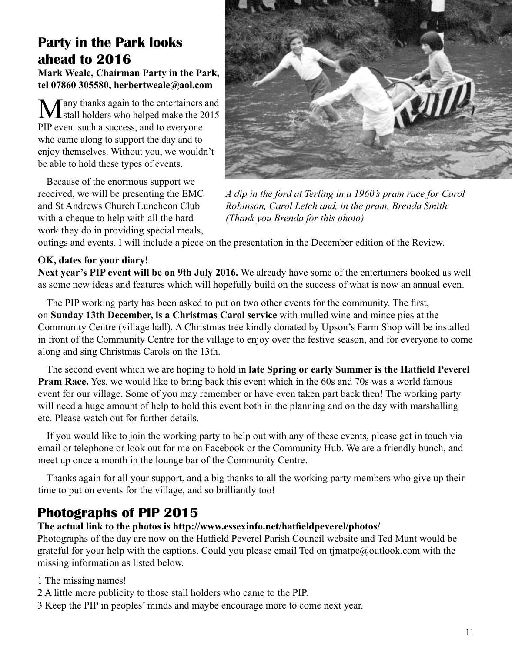# **Party in the Park looks ahead to 2016**

**Mark Weale, Chairman Party in the Park, tel 07860 305580, herbertweale@aol.com**

Many thanks again to the entertainers and<br>stall holders who helped make the 2015 PIP event such a success, and to everyone who came along to support the day and to enjoy themselves. Without you, we wouldn't be able to hold these types of events.

Because of the enormous support we received, we will be presenting the EMC and St Andrews Church Luncheon Club with a cheque to help with all the hard work they do in providing special meals,



*A dip in the ford at Terling in a 1960's pram race for Carol Robinson, Carol Letch and, in the pram, Brenda Smith. (Thank you Brenda for this photo)*

outings and events. I will include a piece on the presentation in the December edition of the Review.

#### **OK, dates for your diary!**

**Next year's PIP event will be on 9th July 2016.** We already have some of the entertainers booked as well as some new ideas and features which will hopefully build on the success of what is now an annual even.

The PIP working party has been asked to put on two other events for the community. The first, on **Sunday 13th December, is a Christmas Carol service** with mulled wine and mince pies at the Community Centre (village hall). A Christmas tree kindly donated by Upson's Farm Shop will be installed in front of the Community Centre for the village to enjoy over the festive season, and for everyone to come along and sing Christmas Carols on the 13th.

The second event which we are hoping to hold in **late Spring or early Summer is the Hatfield Peverel Pram Race.** Yes, we would like to bring back this event which in the 60s and 70s was a world famous event for our village. Some of you may remember or have even taken part back then! The working party will need a huge amount of help to hold this event both in the planning and on the day with marshalling etc. Please watch out for further details.

If you would like to join the working party to help out with any of these events, please get in touch via email or telephone or look out for me on Facebook or the Community Hub. We are a friendly bunch, and meet up once a month in the lounge bar of the Community Centre.

Thanks again for all your support, and a big thanks to all the working party members who give up their time to put on events for the village, and so brilliantly too!

# **Photographs of PIP 2015**

#### **The actual link to the photos is http://www.essexinfo.net/hatfieldpeverel/photos/**

Photographs of the day are now on the Hatfield Peverel Parish Council website and Ted Munt would be grateful for your help with the captions. Could you please email Ted on tjmatpc@outlook.com with the missing information as listed below.

1 The missing names!

- 2 A little more publicity to those stall holders who came to the PIP.
- 3 Keep the PIP in peoples' minds and maybe encourage more to come next year.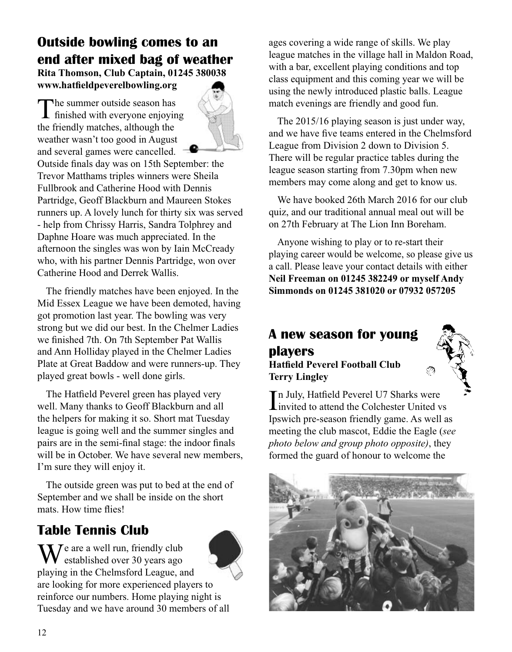# **Outside bowling comes to an end after mixed bag of weather Rita Thomson, Club Captain, 01245 380038**

**www.hatfieldpeverelbowling.org**

The summer outside season has<br>finished with everyone enjoying the friendly matches, although the weather wasn't too good in August and several games were cancelled.



Outside finals day was on 15th September: the Trevor Matthams triples winners were Sheila Fullbrook and Catherine Hood with Dennis Partridge, Geoff Blackburn and Maureen Stokes runners up. A lovely lunch for thirty six was served - help from Chrissy Harris, Sandra Tolphrey and Daphne Hoare was much appreciated. In the afternoon the singles was won by Iain McCready who, with his partner Dennis Partridge, won over Catherine Hood and Derrek Wallis.

The friendly matches have been enjoyed. In the Mid Essex League we have been demoted, having got promotion last year. The bowling was very strong but we did our best. In the Chelmer Ladies we finished 7th. On 7th September Pat Wallis and Ann Holliday played in the Chelmer Ladies Plate at Great Baddow and were runners-up. They played great bowls - well done girls.

The Hatfield Peverel green has played very well. Many thanks to Geoff Blackburn and all the helpers for making it so. Short mat Tuesday league is going well and the summer singles and pairs are in the semi-final stage: the indoor finals will be in October. We have several new members, I'm sure they will enjoy it.

The outside green was put to bed at the end of September and we shall be inside on the short mats. How time flies!

# **Table Tennis Club**



ages covering a wide range of skills. We play league matches in the village hall in Maldon Road, with a bar, excellent playing conditions and top class equipment and this coming year we will be using the newly introduced plastic balls. League match evenings are friendly and good fun.

The 2015/16 playing season is just under way, and we have five teams entered in the Chelmsford League from Division 2 down to Division 5. There will be regular practice tables during the league season starting from 7.30pm when new members may come along and get to know us.

We have booked 26th March 2016 for our club quiz, and our traditional annual meal out will be on 27th February at The Lion Inn Boreham.

Anyone wishing to play or to re-start their playing career would be welcome, so please give us a call. Please leave your contact details with either **Neil Freeman on 01245 382249 or myself Andy Simmonds on 01245 381020 or 07932 057205**

# **A new season for young players**

**Hatfield Peverel Football Club Terry Lingley**



In July, Hatfield Peverel U7 Sharks were<br>invited to attend the Colchester United v invited to attend the Colchester United vs Ipswich pre-season friendly game. As well as meeting the club mascot, Eddie the Eagle (*see photo below and group photo opposite)*, they formed the guard of honour to welcome the

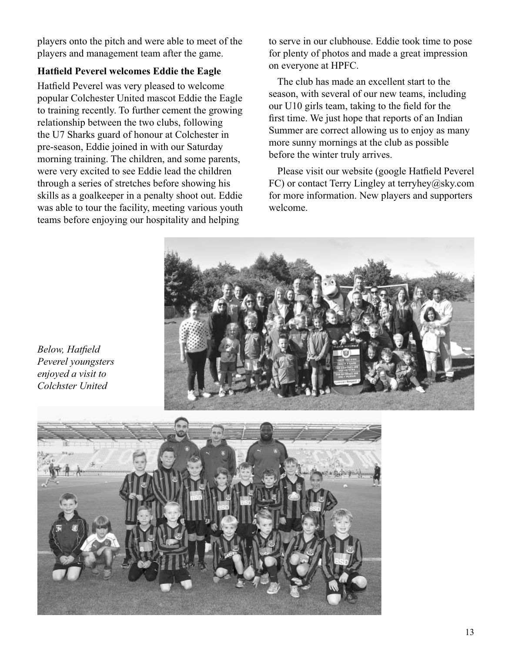players onto the pitch and were able to meet of the players and management team after the game.

#### **Hatfield Peverel welcomes Eddie the Eagle**

Hatfield Peverel was very pleased to welcome popular Colchester United mascot Eddie the Eagle to training recently. To further cement the growing relationship between the two clubs, following the U7 Sharks guard of honour at Colchester in pre-season, Eddie joined in with our Saturday morning training. The children, and some parents, were very excited to see Eddie lead the children through a series of stretches before showing his skills as a goalkeeper in a penalty shoot out. Eddie was able to tour the facility, meeting various youth teams before enjoying our hospitality and helping

to serve in our clubhouse. Eddie took time to pose for plenty of photos and made a great impression on everyone at HPFC.

The club has made an excellent start to the season, with several of our new teams, including our U10 girls team, taking to the field for the first time. We just hope that reports of an Indian Summer are correct allowing us to enjoy as many more sunny mornings at the club as possible before the winter truly arrives.

Please visit our website (google Hatfield Peverel FC) or contact Terry Lingley at terryhey@sky.com for more information. New players and supporters welcome.

*Below, Hatfield Peverel youngsters enjoyed a visit to Colchster United*

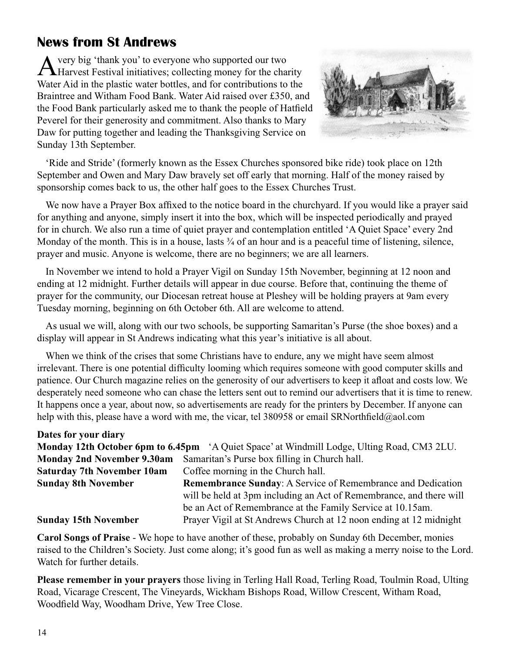# **News from St Andrews**

A very big 'thank you' to everyone who supported our two<br>Harvest Festival initiatives; collecting money for the charity Water Aid in the plastic water bottles, and for contributions to the Braintree and Witham Food Bank. Water Aid raised over £350, and the Food Bank particularly asked me to thank the people of Hatfield Peverel for their generosity and commitment. Also thanks to Mary Daw for putting together and leading the Thanksgiving Service on Sunday 13th September.



'Ride and Stride' (formerly known as the Essex Churches sponsored bike ride) took place on 12th September and Owen and Mary Daw bravely set off early that morning. Half of the money raised by sponsorship comes back to us, the other half goes to the Essex Churches Trust.

We now have a Prayer Box affixed to the notice board in the churchyard. If you would like a prayer said for anything and anyone, simply insert it into the box, which will be inspected periodically and prayed for in church. We also run a time of quiet prayer and contemplation entitled 'A Quiet Space' every 2nd Monday of the month. This is in a house, lasts  $\frac{3}{4}$  of an hour and is a peaceful time of listening, silence, prayer and music. Anyone is welcome, there are no beginners; we are all learners.

In November we intend to hold a Prayer Vigil on Sunday 15th November, beginning at 12 noon and ending at 12 midnight. Further details will appear in due course. Before that, continuing the theme of prayer for the community, our Diocesan retreat house at Pleshey will be holding prayers at 9am every Tuesday morning, beginning on 6th October 6th. All are welcome to attend.

As usual we will, along with our two schools, be supporting Samaritan's Purse (the shoe boxes) and a display will appear in St Andrews indicating what this year's initiative is all about.

When we think of the crises that some Christians have to endure, any we might have seem almost irrelevant. There is one potential difficulty looming which requires someone with good computer skills and patience. Our Church magazine relies on the generosity of our advertisers to keep it afloat and costs low. We desperately need someone who can chase the letters sent out to remind our advertisers that it is time to renew. It happens once a year, about now, so advertisements are ready for the printers by December. If anyone can help with this, please have a word with me, the vicar, tel 380958 or email SRNorthfield@aol.com

| Dates for your diary              |                                                                                            |  |
|-----------------------------------|--------------------------------------------------------------------------------------------|--|
|                                   | Monday 12th October 6pm to 6.45pm 'A Quiet Space' at Windmill Lodge, Ulting Road, CM3 2LU. |  |
|                                   | Monday 2nd November 9.30am Samaritan's Purse box filling in Church hall.                   |  |
| <b>Saturday 7th November 10am</b> | Coffee morning in the Church hall.                                                         |  |
| <b>Sunday 8th November</b>        | <b>Remembrance Sunday:</b> A Service of Remembrance and Dedication                         |  |
|                                   | will be held at 3pm including an Act of Remembrance, and there will                        |  |
|                                   | be an Act of Remembrance at the Family Service at 10.15am.                                 |  |
| <b>Sunday 15th November</b>       | Prayer Vigil at St Andrews Church at 12 noon ending at 12 midnight                         |  |

**Carol Songs of Praise** - We hope to have another of these, probably on Sunday 6th December, monies raised to the Children's Society. Just come along; it's good fun as well as making a merry noise to the Lord. Watch for further details.

**Please remember in your prayers** those living in Terling Hall Road, Terling Road, Toulmin Road, Ulting Road, Vicarage Crescent, The Vineyards, Wickham Bishops Road, Willow Crescent, Witham Road, Woodfield Way, Woodham Drive, Yew Tree Close.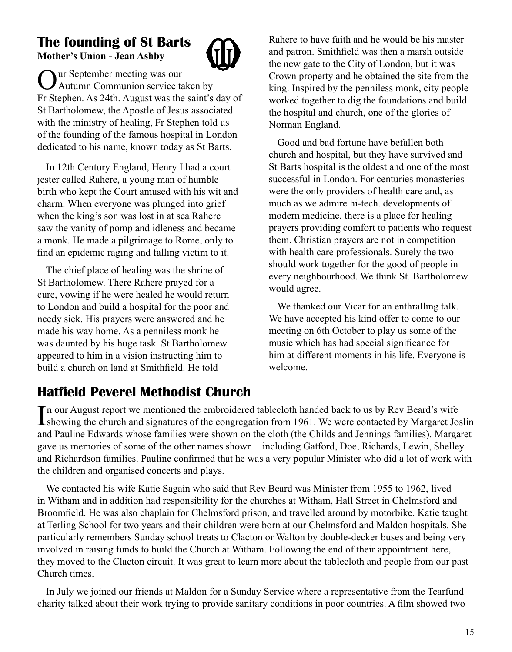# **The founding of St Barts Mother's Union - Jean Ashby**



**Nur September meeting was our** Autumn Communion service taken by Fr Stephen. As 24th. August was the saint's day of St Bartholomew, the Apostle of Jesus associated with the ministry of healing, Fr Stephen told us of the founding of the famous hospital in London dedicated to his name, known today as St Barts.

In 12th Century England, Henry I had a court jester called Rahere, a young man of humble birth who kept the Court amused with his wit and charm. When everyone was plunged into grief when the king's son was lost in at sea Rahere saw the vanity of pomp and idleness and became a monk. He made a pilgrimage to Rome, only to find an epidemic raging and falling victim to it.

The chief place of healing was the shrine of St Bartholomew. There Rahere prayed for a cure, vowing if he were healed he would return to London and build a hospital for the poor and needy sick. His prayers were answered and he made his way home. As a penniless monk he was daunted by his huge task. St Bartholomew appeared to him in a vision instructing him to build a church on land at Smithfield. He told

Rahere to have faith and he would be his master and patron. Smithfield was then a marsh outside the new gate to the City of London, but it was Crown property and he obtained the site from the king. Inspired by the penniless monk, city people worked together to dig the foundations and build the hospital and church, one of the glories of Norman England.

Good and bad fortune have befallen both church and hospital, but they have survived and St Barts hospital is the oldest and one of the most successful in London. For centuries monasteries were the only providers of health care and, as much as we admire hi-tech. developments of modern medicine, there is a place for healing prayers providing comfort to patients who request them. Christian prayers are not in competition with health care professionals. Surely the two should work together for the good of people in every neighbourhood. We think St. Bartholomew would agree.

We thanked our Vicar for an enthralling talk. We have accepted his kind offer to come to our meeting on 6th October to play us some of the music which has had special significance for him at different moments in his life. Everyone is welcome.

# **Hatfield Peverel Methodist Church**

In our August report we mentioned the embroidered tablecloth handed back to us by Rev Beard's wife<br>showing the church and signatures of the congregation from 1961. We were contacted by Margaret Joseph showing the church and signatures of the congregation from 1961. We were contacted by Margaret Joslin and Pauline Edwards whose families were shown on the cloth (the Childs and Jennings families). Margaret gave us memories of some of the other names shown – including Gatford, Doe, Richards, Lewin, Shelley and Richardson families. Pauline confirmed that he was a very popular Minister who did a lot of work with the children and organised concerts and plays.

We contacted his wife Katie Sagain who said that Rev Beard was Minister from 1955 to 1962, lived in Witham and in addition had responsibility for the churches at Witham, Hall Street in Chelmsford and Broomfield. He was also chaplain for Chelmsford prison, and travelled around by motorbike. Katie taught at Terling School for two years and their children were born at our Chelmsford and Maldon hospitals. She particularly remembers Sunday school treats to Clacton or Walton by double-decker buses and being very involved in raising funds to build the Church at Witham. Following the end of their appointment here, they moved to the Clacton circuit. It was great to learn more about the tablecloth and people from our past Church times.

In July we joined our friends at Maldon for a Sunday Service where a representative from the Tearfund charity talked about their work trying to provide sanitary conditions in poor countries. A film showed two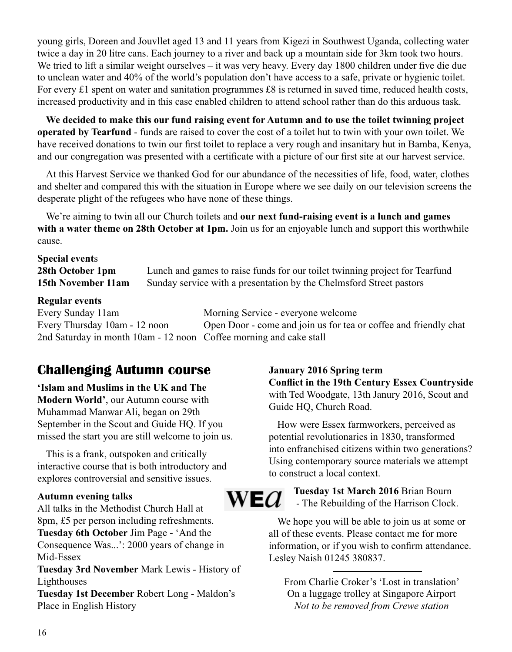young girls, Doreen and Jouvllet aged 13 and 11 years from Kigezi in Southwest Uganda, collecting water twice a day in 20 litre cans. Each journey to a river and back up a mountain side for 3km took two hours. We tried to lift a similar weight ourselves – it was very heavy. Every day 1800 children under five die due to unclean water and 40% of the world's population don't have access to a safe, private or hygienic toilet. For every £1 spent on water and sanitation programmes £8 is returned in saved time, reduced health costs, increased productivity and in this case enabled children to attend school rather than do this arduous task.

**We decided to make this our fund raising event for Autumn and to use the toilet twinning project operated by Tearfund** - funds are raised to cover the cost of a toilet hut to twin with your own toilet. We have received donations to twin our first toilet to replace a very rough and insanitary hut in Bamba, Kenya, and our congregation was presented with a certificate with a picture of our first site at our harvest service.

At this Harvest Service we thanked God for our abundance of the necessities of life, food, water, clothes and shelter and compared this with the situation in Europe where we see daily on our television screens the desperate plight of the refugees who have none of these things.

We're aiming to twin all our Church toilets and **our next fund-raising event is a lunch and games**  with a water theme on 28th October at 1pm. Join us for an enjoyable lunch and support this worthwhile cause.

# **Special event**s

**28th October 1pm** Lunch and games to raise funds for our toilet twinning project for Tearfund **15th November 11am** Sunday service with a presentation by the Chelmsford Street pastors

#### **Regular events**

Every Sunday 11am Morning Service - everyone welcome Every Thursday 10am - 12 noon Open Door - come and join us for tea or coffee and friendly chat 2nd Saturday in month 10am - 12 noon Coffee morning and cake stall

# **Challenging Autumn course**

**'Islam and Muslims in the UK and The Modern World'**, our Autumn course with Muhammad Manwar Ali, began on 29th September in the Scout and Guide HQ. If you missed the start you are still welcome to join us.

This is a frank, outspoken and critically interactive course that is both introductory and explores controversial and sensitive issues.

#### **Autumn evening talks**

All talks in the Methodist Church Hall at 8pm, £5 per person including refreshments. **Tuesday 6th October** Jim Page - 'And the Consequence Was...': 2000 years of change in Mid-Essex

**Tuesday 3rd November** Mark Lewis - History of Lighthouses

**Tuesday 1st December** Robert Long - Maldon's Place in English History

#### **January 2016 Spring term Conflict in the 19th Century Essex Countryside** with Ted Woodgate, 13th Janury 2016, Scout and Guide HQ, Church Road.

How were Essex farmworkers, perceived as potential revolutionaries in 1830, transformed into enfranchised citizens within two generations? Using contemporary source materials we attempt to construct a local context.

 $W E G$ 

**Tuesday 1st March 2016** Brian Bourn - The Rebuilding of the Harrison Clock.

We hope you will be able to join us at some or all of these events. Please contact me for more information, or if you wish to confirm attendance. Lesley Naish 01245 380837.

From Charlie Croker's 'Lost in translation' On a luggage trolley at Singapore Airport *Not to be removed from Crewe station*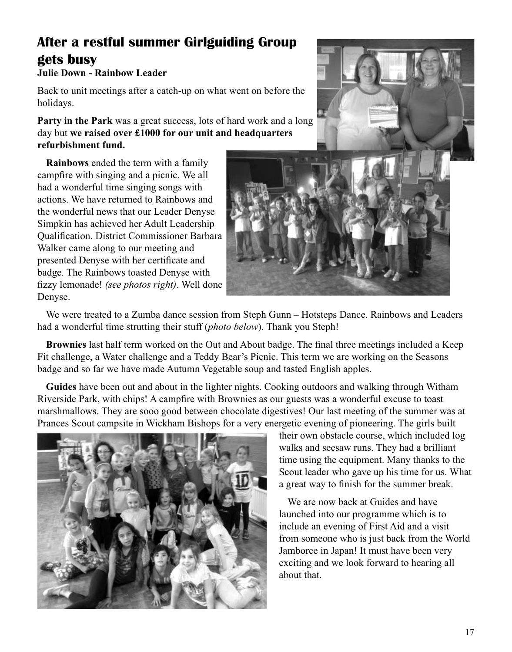# **After a restful summer Girlguiding Group gets busy**

#### **Julie Down - Rainbow Leader**

Back to unit meetings after a catch-up on what went on before the holidays.

**Party in the Park** was a great success, lots of hard work and a long day but **we raised over £1000 for our unit and headquarters refurbishment fund.** 

**Rainbows** ended the term with a family campfire with singing and a picnic. We all had a wonderful time singing songs with actions. We have returned to Rainbows and the wonderful news that our Leader Denyse Simpkin has achieved her Adult Leadership Qualification. District Commissioner Barbara Walker came along to our meeting and presented Denyse with her certificate and badge*.* The Rainbows toasted Denyse with fizzy lemonade! *(see photos right)*. Well done Denyse.





We were treated to a Zumba dance session from Steph Gunn – Hotsteps Dance. Rainbows and Leaders had a wonderful time strutting their stuff (*photo below*). Thank you Steph!

**Brownies** last half term worked on the Out and About badge. The final three meetings included a Keep Fit challenge, a Water challenge and a Teddy Bear's Picnic. This term we are working on the Seasons badge and so far we have made Autumn Vegetable soup and tasted English apples.

**Guides** have been out and about in the lighter nights. Cooking outdoors and walking through Witham Riverside Park, with chips! A campfire with Brownies as our guests was a wonderful excuse to toast marshmallows. They are sooo good between chocolate digestives! Our last meeting of the summer was at Prances Scout campsite in Wickham Bishops for a very energetic evening of pioneering. The girls built



their own obstacle course, which included log walks and seesaw runs. They had a brilliant time using the equipment. Many thanks to the Scout leader who gave up his time for us. What a great way to finish for the summer break.

We are now back at Guides and have launched into our programme which is to include an evening of First Aid and a visit from someone who is just back from the World Jamboree in Japan! It must have been very exciting and we look forward to hearing all about that.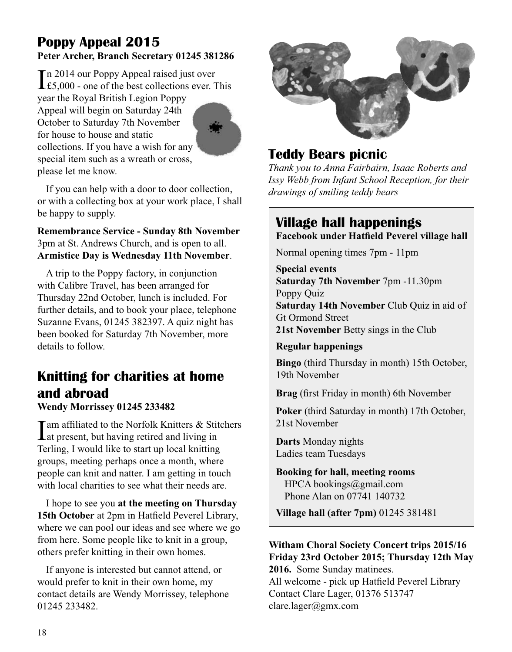### **Poppy Appeal 2015 Peter Archer, Branch Secretary 01245 381286**

In 2014 our Poppy Appeal raised just over<br>
£5,000 - one of the best collections ever. T £5,000 - one of the best collections ever. This year the Royal British Legion Poppy Appeal will begin on Saturday 24th October to Saturday 7th November for house to house and static collections. If you have a wish for any special item such as a wreath or cross, please let me know.

If you can help with a door to door collection, or with a collecting box at your work place, I shall be happy to supply.

#### **Remembrance Service - Sunday 8th November** 3pm at St. Andrews Church, and is open to all. **Armistice Day is Wednesday 11th November**.

A trip to the Poppy factory, in conjunction with Calibre Travel, has been arranged for Thursday 22nd October, lunch is included. For further details, and to book your place, telephone Suzanne Evans, 01245 382397. A quiz night has been booked for Saturday 7th November, more details to follow.

# **Knitting for charities at home and abroad**

**Wendy Morrissey 01245 233482**

I am affiliated to the Norfolk Knitters & Stitchers<br>at present, but having retired and living in Terling, I would like to start up local knitting groups, meeting perhaps once a month, where people can knit and natter. I am getting in touch with local charities to see what their needs are.

I hope to see you **at the meeting on Thursday 15th October** at 2pm in Hatfield Peverel Library, where we can pool our ideas and see where we go from here. Some people like to knit in a group, others prefer knitting in their own homes.

If anyone is interested but cannot attend, or would prefer to knit in their own home, my contact details are Wendy Morrissey, telephone 01245 233482.



# **Teddy Bears picnic**

*Thank you to Anna Fairbairn, Isaac Roberts and Issy Webb from Infant School Reception, for their drawings of smiling teddy bears*

# **Village hall happenings**

**Facebook under Hatfield Peverel village hall**

Normal opening times 7pm - 11pm

**Special events Saturday 7th November** 7pm -11.30pm Poppy Quiz **Saturday 14th November** Club Quiz in aid of Gt Ormond Street **21st November** Betty sings in the Club

**Regular happenings**

**Bingo** (third Thursday in month) 15th October, 19th November

**Brag** (first Friday in month) 6th November

**Poker** (third Saturday in month) 17th October, 21st November

**Darts** Monday nights Ladies team Tuesdays

**Booking for hall, meeting rooms** HPCA bookings@gmail.com Phone Alan on 07741 140732

**Village hall (after 7pm)** 01245 381481

#### **Witham Choral Society Concert trips 2015/16 Friday 23rd October 2015; Thursday 12th May 2016.** Some Sunday matinees.

All welcome - pick up Hatfield Peverel Library Contact Clare Lager, 01376 513747 clare.lager@gmx.com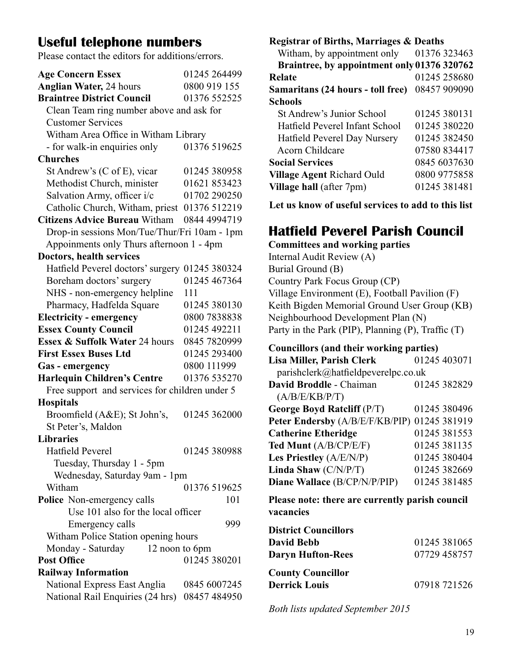# **Useful telephone numbers**

Please contact the editors for additions/errors.

| <b>Age Concern Essex</b>                       | 01245 264499 |  |
|------------------------------------------------|--------------|--|
| <b>Anglian Water, 24 hours</b>                 | 0800 919 155 |  |
| <b>Braintree District Council</b>              | 01376 552525 |  |
| Clean Team ring number above and ask for       |              |  |
| <b>Customer Services</b>                       |              |  |
| Witham Area Office in Witham Library           |              |  |
| - for walk-in enquiries only                   | 01376 519625 |  |
| <b>Churches</b>                                |              |  |
| St Andrew's (C of E), vicar                    | 01245 380958 |  |
| Methodist Church, minister                     | 01621 853423 |  |
| Salvation Army, officer i/c                    | 01702 290250 |  |
| Catholic Church, Witham, priest 01376 512219   |              |  |
| <b>Citizens Advice Bureau Witham</b>           | 0844 4994719 |  |
| Drop-in sessions Mon/Tue/Thur/Fri 10am - 1pm   |              |  |
| Appoinments only Thurs afternoon 1 - 4pm       |              |  |
| Doctors, health services                       |              |  |
| Hatfield Peverel doctors' surgery 01245 380324 |              |  |
| Boreham doctors' surgery                       | 01245 467364 |  |
| NHS - non-emergency helpline                   | 111          |  |
| Pharmacy, Hadfelda Square                      | 01245 380130 |  |
| <b>Electricity - emergency</b>                 | 0800 7838838 |  |
| <b>Essex County Council</b>                    | 01245 492211 |  |
| Essex & Suffolk Water 24 hours                 | 0845 7820999 |  |
| <b>First Essex Buses Ltd</b>                   | 01245 293400 |  |
| Gas - emergency                                | 0800 111999  |  |
| <b>Harlequin Children's Centre</b>             | 01376 535270 |  |
| Free support and services for children under 5 |              |  |
| <b>Hospitals</b>                               |              |  |
| Broomfield (A&E); St John's,                   | 01245 362000 |  |
| St Peter's, Maldon                             |              |  |
| <b>Libraries</b>                               |              |  |
| Hatfield Peverel                               | 01245 380988 |  |
| Tuesday, Thursday 1 - 5pm                      |              |  |
| Wednesday, Saturday 9am - 1pm                  |              |  |
| Witham                                         | 01376 519625 |  |
| Police Non-emergency calls                     | 101          |  |
| Use 101 also for the local officer             |              |  |
| Emergency calls                                | 999          |  |
| Witham Police Station opening hours            |              |  |
| Monday - Saturday<br>12 noon to 6pm            |              |  |
| <b>Post Office</b>                             | 01245 380201 |  |
| <b>Railway Information</b>                     |              |  |
| National Express East Anglia                   | 0845 6007245 |  |
| National Rail Enquiries (24 hrs)               | 08457 484950 |  |

**Registrar of Births, Marriages & Deaths**

Witham, by appointment only 01376 323463  **Braintree, by appointment only 01376 320762 Relate** 01245 258680 **Samaritans (24 hours - toll free)** 08457 909090 **Schools** St Andrew's Junior School 01245 380131 Hatfield Peverel Infant School 01245 380220<br>Hatfield Peverel Dav Nurserv 01245 382450 Hatfield Peverel Day Nursery Acorn Childcare 07580 834417 **Social Services** 0845 6037630 **Village Agent** Richard Ould 0800 9775858 **Village hall** (after 7pm) 01245 381481

**Let us know of useful services to add to this list**

# **Hatfield Peverel Parish Council**

**Committees and working parties**

Internal Audit Review (A) Burial Ground (B) Country Park Focus Group (CP) Village Environment (E), Football Pavilion (F) Keith Bigden Memorial Ground User Group (KB) Neighbourhood Development Plan (N) Party in the Park (PIP), Planning (P), Traffic (T)

#### **Councillors (and their working parties)**

| Lisa Miller, Parish Clerk                    | 01245 403071 |
|----------------------------------------------|--------------|
| parishclerk@hatfieldpeverelpc.co.uk          |              |
| David Broddle - Chaiman                      | 01245 382829 |
| (A/B/E/KB/P/T)                               |              |
| George Boyd Ratcliff (P/T)                   | 01245 380496 |
| Peter Endersby (A/B/E/F/KB/PIP) 01245 381919 |              |
| <b>Catherine Etheridge</b>                   | 01245 381553 |
| Ted Munt (A/B/CP/E/F)                        | 01245 381135 |
| Les Priestley (A/E/N/P)                      | 01245 380404 |
| Linda Shaw (C/N/P/T)                         | 01245 382669 |
| Diane Wallace (B/CP/N/P/PIP)                 | 01245 381485 |

**Please note: there are currently parish council vacancies**

| <b>District Councillors</b> |              |
|-----------------------------|--------------|
| David Bebb                  | 01245 381065 |
| <b>Daryn Hufton-Rees</b>    | 07729 458757 |
| <b>County Councillor</b>    |              |
| <b>Derrick Louis</b>        | 07918 721526 |

*Both lists updated September 2015*